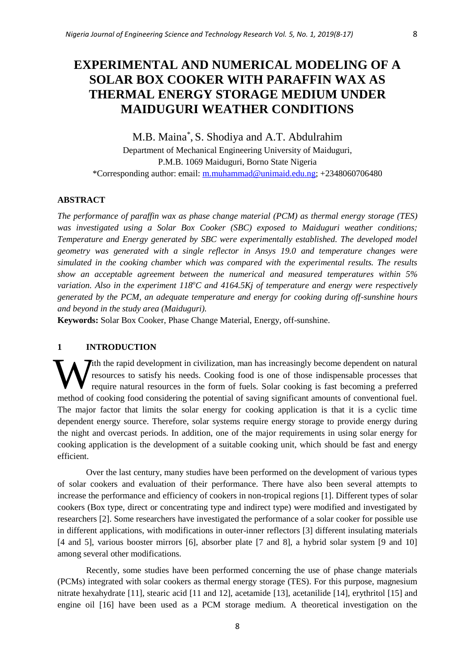# **EXPERIMENTAL AND NUMERICAL MODELING OF A SOLAR BOX COOKER WITH PARAFFIN WAX AS THERMAL ENERGY STORAGE MEDIUM UNDER MAIDUGURI WEATHER CONDITIONS**

M.B. Maina\* , S. Shodiya and A.T. Abdulrahim Department of Mechanical Engineering University of Maiduguri, P.M.B. 1069 Maiduguri, Borno State Nigeria \*Corresponding author: email: [m.muhammad@unimaid.edu.ng;](mailto:m.muhammad@unimaid.edu.ng) +2348060706480

## **ABSTRACT**

*The performance of paraffin wax as phase change material (PCM) as thermal energy storage (TES) was investigated using a Solar Box Cooker (SBC) exposed to Maiduguri weather conditions; Temperature and Energy generated by SBC were experimentally established. The developed model geometry was generated with a single reflector in Ansys 19.0 and temperature changes were simulated in the cooking chamber which was compared with the experimental results. The results show an acceptable agreement between the numerical and measured temperatures within 5% variation. Also in the experiment 118<sup>o</sup>C and 4164.5Kj of temperature and energy were respectively generated by the PCM, an adequate temperature and energy for cooking during off-sunshine hours and beyond in the study area (Maiduguri).*

**Keywords:** Solar Box Cooker, Phase Change Material, Energy, off-sunshine.

## **1 INTRODUCTION**

**T**ith the rapid development in civilization, man has increasingly become dependent on natural resources to satisfy his needs. Cooking food is one of those indispensable processes that require natural resources in the form of fuels. Solar cooking is fast becoming a preferred method of cooking food considering the potential of saving significant amounts of conventional fuel. The major factor that limits the solar energy for cooking application is that it is a cyclic time dependent energy source. Therefore, solar systems require energy storage to provide energy during the night and overcast periods. In addition, one of the major requirements in using solar energy for cooking application is the development of a suitable cooking unit, which should be fast and energy efficient.  $\mathbf{W}_{\text{r}}^{\text{r}}$ 

Over the last century, many studies have been performed on the development of various types of solar cookers and evaluation of their performance. There have also been several attempts to increase the performance and efficiency of cookers in non-tropical regions [1]. Different types of solar cookers (Box type, direct or concentrating type and indirect type) were modified and investigated by researchers [2]. Some researchers have investigated the performance of a solar cooker for possible use in different applications, with modifications in outer-inner reflectors [3] different insulating materials [4 and 5], various booster mirrors [6], absorber plate [7 and 8], a hybrid solar system [9 and 10] among several other modifications.

Recently, some studies have been performed concerning the use of phase change materials (PCMs) integrated with solar cookers as thermal energy storage (TES). For this purpose, magnesium nitrate hexahydrate [11], stearic acid [11 and 12], acetamide [13], acetanilide [14], erythritol [15] and engine oil [16] have been used as a PCM storage medium. A theoretical investigation on the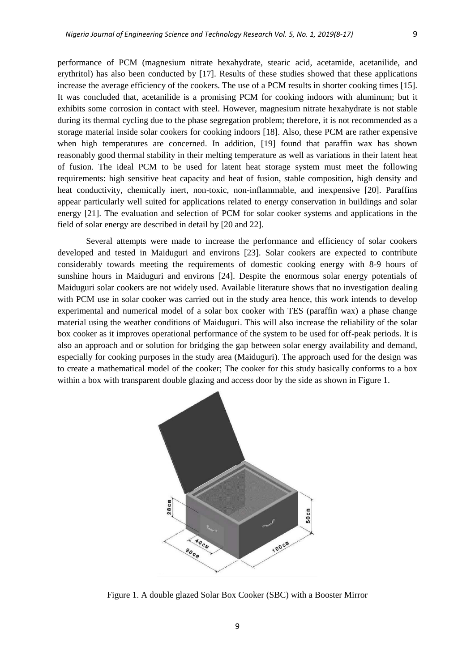performance of PCM (magnesium nitrate hexahydrate, stearic acid, acetamide, acetanilide, and erythritol) has also been conducted by [17]. Results of these studies showed that these applications increase the average efficiency of the cookers. The use of a PCM results in shorter cooking times [15]. It was concluded that, acetanilide is a promising PCM for cooking indoors with aluminum; but it exhibits some corrosion in contact with steel. However, magnesium nitrate hexahydrate is not stable during its thermal cycling due to the phase segregation problem; therefore, it is not recommended as a storage material inside solar cookers for cooking indoors [18]. Also, these PCM are rather expensive when high temperatures are concerned. In addition, [19] found that paraffin wax has shown reasonably good thermal stability in their melting temperature as well as variations in their latent heat of fusion. The ideal PCM to be used for latent heat storage system must meet the following requirements: high sensitive heat capacity and heat of fusion, stable composition, high density and heat conductivity, chemically inert, non-toxic, non-inflammable, and inexpensive [20]. Paraffins appear particularly well suited for applications related to energy conservation in buildings and solar energy [21]. The evaluation and selection of PCM for solar cooker systems and applications in the field of solar energy are described in detail by [20 and 22].

Several attempts were made to increase the performance and efficiency of solar cookers developed and tested in Maiduguri and environs [23]. Solar cookers are expected to contribute considerably towards meeting the requirements of domestic cooking energy with 8-9 hours of sunshine hours in Maiduguri and environs [24]. Despite the enormous solar energy potentials of Maiduguri solar cookers are not widely used. Available literature shows that no investigation dealing with PCM use in solar cooker was carried out in the study area hence, this work intends to develop experimental and numerical model of a solar box cooker with TES (paraffin wax) a phase change material using the weather conditions of Maiduguri. This will also increase the reliability of the solar box cooker as it improves operational performance of the system to be used for off-peak periods. It is also an approach and or solution for bridging the gap between solar energy availability and demand, especially for cooking purposes in the study area (Maiduguri). The approach used for the design was to create a mathematical model of the cooker; The cooker for this study basically conforms to a box within a box with transparent double glazing and access door by the side as shown in Figure 1.



Figure 1. A double glazed Solar Box Cooker (SBC) with a Booster Mirror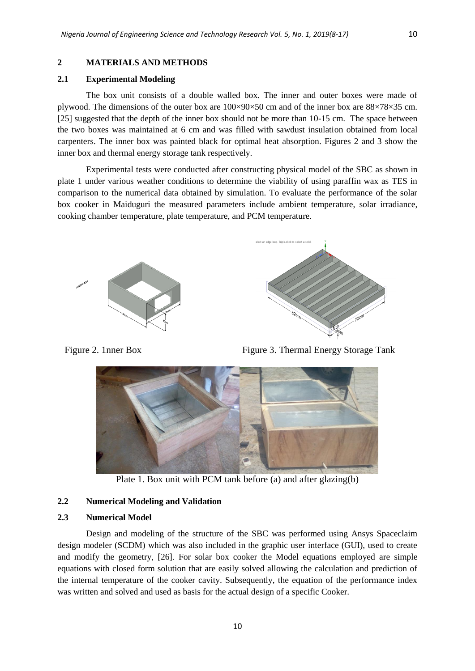## **2.1 Experimental Modeling**

The box unit consists of a double walled box. The inner and outer boxes were made of plywood. The dimensions of the outer box are 100×90×50 cm and of the inner box are 88×78×35 cm. [25] suggested that the depth of the inner box should not be more than 10-15 cm. The space between the two boxes was maintained at 6 cm and was filled with sawdust insulation obtained from local carpenters. The inner box was painted black for optimal heat absorption. Figures 2 and 3 show the inner box and thermal energy storage tank respectively.

Experimental tests were conducted after constructing physical model of the SBC as shown in plate 1 under various weather conditions to determine the viability of using paraffin wax as TES in comparison to the numerical data obtained by simulation. To evaluate the performance of the solar box cooker in Maiduguri the measured parameters include ambient temperature, solar irradiance, cooking chamber temperature, plate temperature, and PCM temperature.



Figure 2. 1nner Box Figure 3. Thermal Energy Storage Tank



Plate 1. Box unit with PCM tank before (a) and after glazing(b)

#### **2.2 Numerical Modeling and Validation**

#### **2.3 Numerical Model**

Design and modeling of the structure of the SBC was performed using Ansys Spaceclaim design modeler (SCDM) which was also included in the graphic user interface (GUI), used to create and modify the geometry, [26]. For solar box cooker the Model equations employed are simple equations with closed form solution that are easily solved allowing the calculation and prediction of the internal temperature of the cooker cavity. Subsequently, the equation of the performance index was written and solved and used as basis for the actual design of a specific Cooker.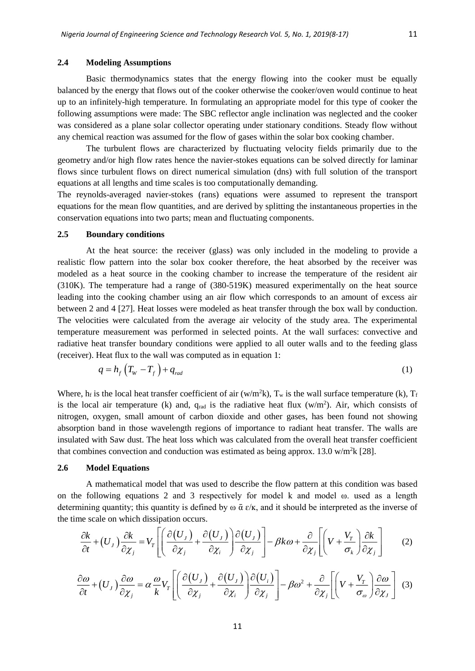#### **2.4 Modeling Assumptions**

Basic thermodynamics states that the energy flowing into the cooker must be equally balanced by the energy that flows out of the cooker otherwise the cooker/oven would continue to heat up to an infinitely-high temperature. In formulating an appropriate model for this type of cooker the following assumptions were made: The SBC reflector angle inclination was neglected and the cooker was considered as a plane solar collector operating under stationary conditions. Steady flow without any chemical reaction was assumed for the flow of gases within the solar box cooking chamber.

The turbulent flows are characterized by fluctuating velocity fields primarily due to the geometry and/or high flow rates hence the navier-stokes equations can be solved directly for laminar flows since turbulent flows on direct numerical simulation (dns) with full solution of the transport equations at all lengths and time scales is too computationally demanding.

The reynolds-averaged navier-stokes (rans) equations were assumed to represent the transport equations for the mean flow quantities, and are derived by splitting the instantaneous properties in the conservation equations into two parts; mean and fluctuating components.

#### **2.5 Boundary conditions**

At the heat source: the receiver (glass) was only included in the modeling to provide a realistic flow pattern into the solar box cooker therefore, the heat absorbed by the receiver was modeled as a heat source in the cooking chamber to increase the temperature of the resident air (310K). The temperature had a range of (380-519K) measured experimentally on the heat source leading into the cooking chamber using an air flow which corresponds to an amount of excess air between 2 and 4 [27]. Heat losses were modeled as heat transfer through the box wall by conduction. The velocities were calculated from the average air velocity of the study area. The experimental temperature measurement was performed in selected points. At the wall surfaces: convective and radiative heat transfer boundary conditions were applied to all outer walls and to the feeding glass (receiver). Heat flux to the wall was computed as in equation 1:

$$
q = h_f \left( T_W - T_f \right) + q_{rad} \tag{1}
$$

Where, h<sub>f</sub> is the local heat transfer coefficient of air (w/m<sup>2</sup>k), T<sub>w</sub> is the wall surface temperature (k), T<sub>f</sub> is the local air temperature (k) and,  $q_{rad}$  is the radiative heat flux ( $w/m<sup>2</sup>$ ). Air, which consists of nitrogen, oxygen, small amount of carbon dioxide and other gases, has been found not showing absorption band in those wavelength regions of importance to radiant heat transfer. The walls are insulated with Saw dust. The heat loss which was calculated from the overall heat transfer coefficient that combines convection and conduction was estimated as being approx. 13.0 w/m<sup>2</sup>k [28].

### **2.6 Model Equations**

A mathematical model that was used to describe the flow pattern at this condition was based on the following equations 2 and 3 respectively for model k and model ω. used as a length determining quantity; this quantity is defined by  $\omega \bar{\alpha} \epsilon / \kappa$ , and it should be interpreted as the inverse of the time scale on which dissipation occurs.

$$
\frac{\partial k}{\partial t} + (U_J) \frac{\partial k}{\partial \chi_j} = V_T \left[ \left( \frac{\partial (U_J)}{\partial \chi_j} + \frac{\partial (U_J)}{\partial \chi_i} \right) \frac{\partial (U_J)}{\partial \chi_j} \right] - \beta k \omega + \frac{\partial}{\partial \chi_j} \left[ \left( V + \frac{V_T}{\sigma_k} \right) \frac{\partial k}{\partial \chi_j} \right] \tag{2}
$$

$$
\frac{\partial \omega}{\partial t} + (U_J) \frac{\partial \omega}{\partial \chi_j} = \alpha \frac{\omega}{k} V_T \left[ \left( \frac{\partial (U_J)}{\partial \chi_j} + \frac{\partial (U_J)}{\partial \chi_i} \right) \frac{\partial (U_i)}{\partial \chi_j} \right] - \beta \omega^2 + \frac{\partial}{\partial \chi_j} \left[ \left( V + \frac{V_T}{\sigma_\omega} \right) \frac{\partial \omega}{\partial \chi_j} \right] \tag{3}
$$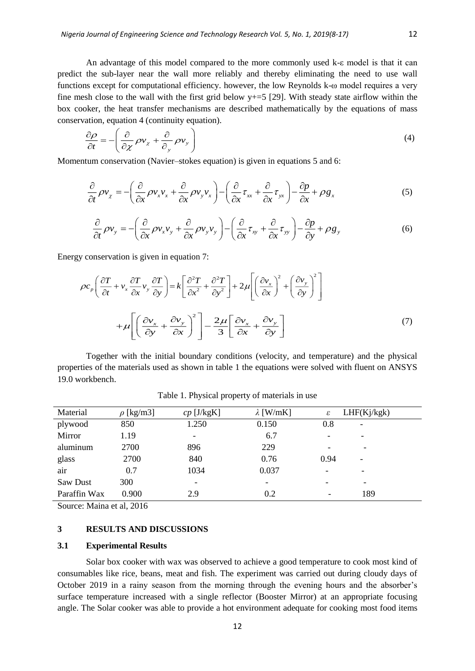An advantage of this model compared to the more commonly used k-ε model is that it can predict the sub-layer near the wall more reliably and thereby eliminating the need to use wall functions except for computational efficiency. however, the low Reynolds k-ω model requires a very fine mesh close to the wall with the first grid below  $y+=5$  [29]. With steady state airflow within the box cooker, the heat transfer mechanisms are described mathematically by the equations of mass conservation, equation 4 (continuity equation).

$$
\frac{\partial \rho}{\partial t} = -\left(\frac{\partial}{\partial \chi} \rho v_x + \frac{\partial}{\partial_y} \rho v_y\right) \tag{4}
$$

Momentum conservation (Navier–stokes equation) is given in equations 5 and 6:

$$
\frac{\partial}{\partial t} \rho v_x = -\left(\frac{\partial}{\partial x} \rho v_x v_x + \frac{\partial}{\partial x} \rho v_y v_x\right) - \left(\frac{\partial}{\partial x} \tau_{xx} + \frac{\partial}{\partial x} \tau_{yx}\right) - \frac{\partial p}{\partial x} + \rho g_x \tag{5}
$$

$$
\frac{\partial}{\partial t} \rho v_y = -\left(\frac{\partial}{\partial x} \rho v_x v_y + \frac{\partial}{\partial x} \rho v_y v_y\right) - \left(\frac{\partial}{\partial x} \tau_{xy} + \frac{\partial}{\partial x} \tau_{yy}\right) - \frac{\partial p}{\partial y} + \rho g_y \tag{6}
$$

Energy conservation is given in equation 7:

$$
\rho c_p \left( \frac{\partial T}{\partial t} + v_x \frac{\partial T}{\partial x} v_y \frac{\partial T}{\partial y} \right) = k \left[ \frac{\partial^2 T}{\partial x^2} + \frac{\partial^2 T}{\partial y^2} \right] + 2\mu \left[ \left( \frac{\partial v_x}{\partial x} \right)^2 + \left( \frac{\partial v_y}{\partial y} \right)^2 \right]
$$

$$
+ \mu \left[ \left( \frac{\partial v_x}{\partial y} + \frac{\partial v_y}{\partial x} \right)^2 \right] - \frac{2\mu}{3} \left[ \frac{\partial v_x}{\partial x} + \frac{\partial v_y}{\partial y} \right]
$$
(7)

Together with the initial boundary conditions (velocity, and temperature) and the physical properties of the materials used as shown in table 1 the equations were solved with fluent on ANSYS 19.0 workbench.

| Material     | $\rho$ [kg/m3] | $cp$ [J/kgK]             | $\lambda$ [W/mK]         | ε                        | LHF(Kj/kgk)              |  |
|--------------|----------------|--------------------------|--------------------------|--------------------------|--------------------------|--|
| plywood      | 850            | 1.250                    | 0.150                    | 0.8                      | $\overline{\phantom{a}}$ |  |
| Mirror       | 1.19           | $\overline{\phantom{a}}$ | 6.7                      |                          | -                        |  |
| aluminum     | 2700           | 896                      | 229                      |                          | -                        |  |
| glass        | 2700           | 840                      | 0.76                     | 0.94                     | ٠                        |  |
| air          | 0.7            | 1034                     | 0.037                    | $\overline{\phantom{0}}$ |                          |  |
| Saw Dust     | 300            | $\overline{\phantom{0}}$ | $\overline{\phantom{a}}$ | $\overline{\phantom{0}}$ | $\overline{\phantom{0}}$ |  |
| Paraffin Wax | 0.900          | 2.9                      | 0.2                      |                          | 189                      |  |

Table 1. Physical property of materials in use

Source: Maina et al, 2016

## **3 RESULTS AND DISCUSSIONS**

### **3.1 Experimental Results**

Solar box cooker with wax was observed to achieve a good temperature to cook most kind of consumables like rice, beans, meat and fish. The experiment was carried out during cloudy days of October 2019 in a rainy season from the morning through the evening hours and the absorber's surface temperature increased with a single reflector (Booster Mirror) at an appropriate focusing angle. The Solar cooker was able to provide a hot environment adequate for cooking most food items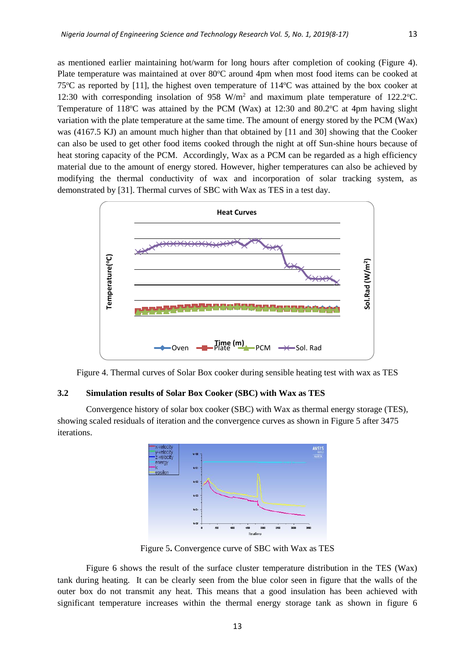as mentioned earlier maintaining hot/warm for long hours after completion of cooking (Figure 4). Plate temperature was maintained at over 80°C around 4pm when most food items can be cooked at 75 $\degree$ C as reported by [11], the highest oven temperature of 114 $\degree$ C was attained by the box cooker at 12:30 with corresponding insolation of  $958 \text{ W/m}^2$  and maximum plate temperature of 122.2°C. Temperature of 118 $\degree$ C was attained by the PCM (Wax) at 12:30 and 80.2 $\degree$ C at 4pm having slight variation with the plate temperature at the same time. The amount of energy stored by the PCM (Wax) was (4167.5 KJ) an amount much higher than that obtained by [11 and 30] showing that the Cooker can also be used to get other food items cooked through the night at off Sun-shine hours because of

heat storing capacity of the PCM. Accordingly, Wax as a PCM can be regarded as a high efficiency material due to the amount of energy stored. However, higher temperatures can also be achieved by modifying the thermal conductivity of wax and incorporation of solar tracking system, as demonstrated by [31]. Thermal curves of SBC with Wax as TES in a test day.



Figure 4. Thermal curves of Solar Box cooker during sensible heating test with wax as TES

#### **3.2 Simulation results of Solar Box Cooker (SBC) with Wax as TES**

Convergence history of solar box cooker (SBC) with Wax as thermal energy storage (TES), showing scaled residuals of iteration and the convergence curves as shown in Figure 5 after 3475 iterations.



Figure 5**.** Convergence curve of SBC with Wax as TES

Figure 6 shows the result of the surface cluster temperature distribution in the TES (Wax) tank during heating. It can be clearly seen from the blue color seen in figure that the walls of the outer box do not transmit any heat. This means that a good insulation has been achieved with significant temperature increases within the thermal energy storage tank as shown in figure 6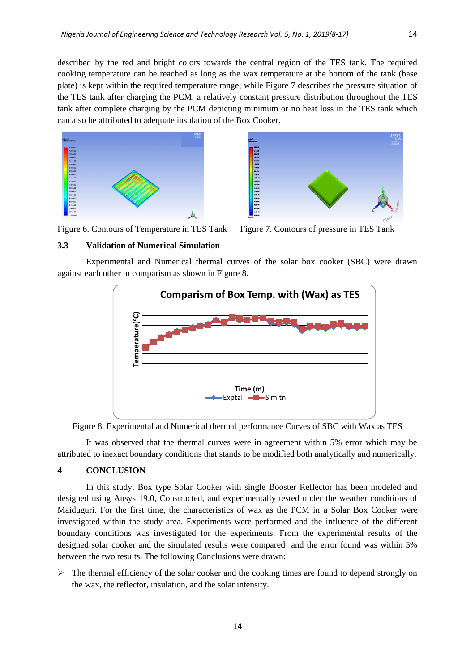described by the red and bright colors towards the central region of the TES tank. The required cooking temperature can be reached as long as the wax temperature at the bottom of the tank (base plate) is kept within the required temperature range; while Figure 7 describes the pressure situation of the TES tank after charging the PCM, a relatively constant pressure distribution throughout the TES tank after complete charging by the PCM depicting minimum or no heat loss in the TES tank which can also be attributed to adequate insulation of the Box Cooker.





Figure 6. Contours of Temperature in TES Tank Figure 7. Contours of pressure in TES Tank

#### **3.3 Validation of Numerical Simulation**

Experimental and Numerical thermal curves of the solar box cooker (SBC) were drawn against each other in comparism as shown in Figure 8.





It was observed that the thermal curves were in agreement within 5% error which may be attributed to inexact boundary conditions that stands to be modified both analytically and numerically.

### **4 CONCLUSION**

In this study, Box type Solar Cooker with single Booster Reflector has been modeled and designed using Ansys 19.0, Constructed, and experimentally tested under the weather conditions of Maiduguri. For the first time, the characteristics of wax as the PCM in a Solar Box Cooker were investigated within the study area. Experiments were performed and the influence of the different boundary conditions was investigated for the experiments. From the experimental results of the designed solar cooker and the simulated results were compared and the error found was within 5% between the two results. The following Conclusions were drawn:

 $\triangleright$  The thermal efficiency of the solar cooker and the cooking times are found to depend strongly on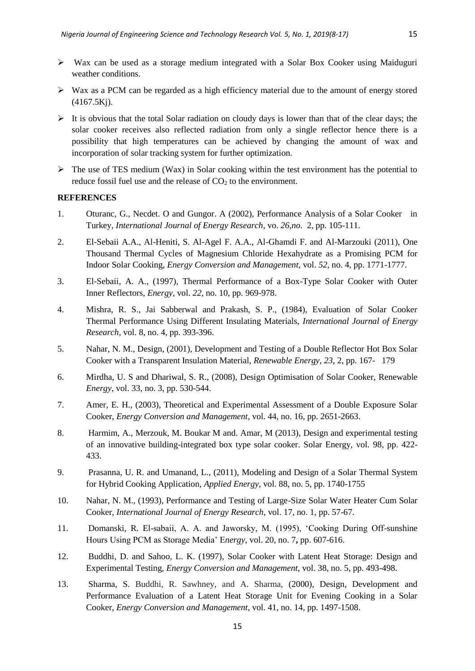- $\triangleright$  Wax can be used as a storage medium integrated with a Solar Box Cooker using Maiduguri weather conditions.
- $\triangleright$  Wax as a PCM can be regarded as a high efficiency material due to the amount of energy stored (4167.5Kj).
- It is obvious that the total Solar radiation on cloudy days is lower than that of the clear days; the solar cooker receives also reflected radiation from only a single reflector hence there is a possibility that high temperatures can be achieved by changing the amount of wax and incorporation of solar tracking system for further optimization.
- $\triangleright$  The use of TES medium (Wax) in Solar cooking within the test environment has the potential to reduce fossil fuel use and the release of  $CO<sub>2</sub>$  to the environment.

### **REFERENCES**

- 1. Oturanc, G., Necdet. O and Gungor. A (2002), Performance Analysis of a Solar Cooker in Turkey, *International Journal of Energy Research*, vo. *26,no.* 2, pp. 105-111.
- 2. El-Sebaii A.A., Al-Heniti, S. Al-Agel F. A.A., Al-Ghamdi F. and Al-Marzouki (2011), One Thousand Thermal Cycles of Magnesium Chloride Hexahydrate as a Promising PCM for Indoor Solar Cooking, *Energy Conversion and Management*, vol. *52*, no. 4, pp. 1771-1777.
- 3. El-Sebaii, A. A., (1997), Thermal Performance of a Box-Type Solar Cooker with Outer Inner Reflectors, *Energy*, vol. *22*, no. 10, pp. 969-978.
- 4. Mishra, R. S., Jai Sabberwal and Prakash, S. P., (1984), Evaluation of Solar Cooker Thermal Performance Using Different Insulating Materials, *International Journal of Energy Research,* vol. 8, no. 4, pp. 393-396.
- 5. Nahar, N. M., Design, (2001), Development and Testing of a Double Reflector Hot Box Solar Cooker with a Transparent Insulation Material, *Renewable Energy*, *23,* 2, pp. 167- 179
- 6. Mirdha, U. S and Dhariwal, S. R., (2008), Design Optimisation of Solar Cooker, Renewable *Energy*, vol. 33, no. 3, pp. 530-544.
- 7. Amer, E. H., (2003), Theoretical and Experimental Assessment of a Double Exposure Solar Cooker, *Energy Conversion and Management*, vol. 44, no. 16, pp. 2651-2663.
- 8. Harmim, A., Merzouk, M. Boukar M and. Amar, M (2013), Design and experimental testing of an innovative building-integrated box type solar cooker. Solar Energy, vol. 98, pp. 422- 433.
- 9. Prasanna, U. R. and Umanand, L., (2011), Modeling and Design of a Solar Thermal System for Hybrid Cooking Application, *Applied Energy*, vol. 88, no. 5, pp. 1740-1755
- 10. Nahar, N. M., (1993), Performance and Testing of Large-Size Solar Water Heater Cum Solar Cooker, *International Journal of Energy Research*, vol. 17, no. 1, pp. 57-67.
- 11. Domanski, R. El-sabaii, A. A. and Jaworsky, M. (1995), 'Cooking During Off-sunshine Hours Using PCM as Storage Media' E*nergy*, vol. 20, no. 7**,** pp. 607-616.
- 12. Buddhi, D. and Sahoo, L. K. (1997), Solar Cooker with Latent Heat Storage: Design and Experimental Testing, *Energy Conversion and Management*, vol. 38, no. 5, pp. 493-498.
- 13. Sharma, S. Buddhi, R. Sawhney, and A. Sharma, (2000), Design, Development and Performance Evaluation of a Latent Heat Storage Unit for Evening Cooking in a Solar Cooker, *Energy Conversion and Management*, vol. 41, no. 14, pp. 1497-1508.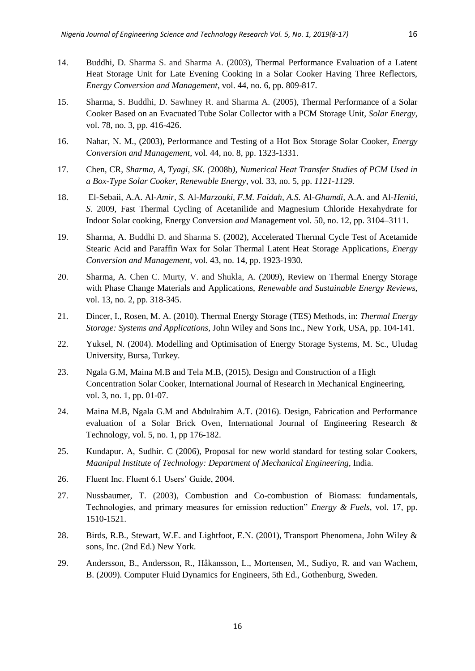- 14. Buddhi, D. Sharma S. and Sharma A. (2003), Thermal Performance Evaluation of a Latent Heat Storage Unit for Late Evening Cooking in a Solar Cooker Having Three Reflectors, *Energy Conversion and Management*, vol. 44, no. 6, pp. 809-817.
- 15. Sharma, S. Buddhi, D. Sawhney R. and Sharma A. (2005), Thermal Performance of a Solar Cooker Based on an Evacuated Tube Solar Collector with a PCM Storage Unit, *Solar Energy*, vol. 78, no. 3, pp. 416-426.
- 16. Nahar, N. M., (2003), Performance and Testing of a Hot Box Storage Solar Cooker, *Energy Conversion and Management,* vol. 44, no. 8, pp. 1323-1331.
- 17. Chen*,* CR*, Sharma, A, Tyagi, SK. (*2008b*), Numerical Heat Transfer Studies of PCM Used in a Box-Type Solar Cooker, Renewable Energy,* vol. 33, no. 5, pp. *1121-1129.*
- 18. El*-*Sebaii*,* A.A. Al*-Amir, S.* Al*-Marzouki, F.M. Faidah, A.S.* Al*-Ghamdi,* A.A. and Al*-Heniti, S.* 2009*,* Fast Thermal Cycling of Acetanilide and Magnesium Chloride Hexahydrate for Indoor Solar cooking*,* Energy Conversion *and* Management vol. 50, no. 12, pp. 3104–3111.
- 19. Sharma, A. Buddhi D. and Sharma S. (2002), Accelerated Thermal Cycle Test of Acetamide Stearic Acid and Paraffin Wax for Solar Thermal Latent Heat Storage Applications, *Energy Conversion and Management*, vol. 43, no. 14, pp. 1923-1930.
- 20. Sharma, A. Chen C. Murty, V. and Shukla, A. (2009), Review on Thermal Energy Storage with Phase Change Materials and Applications, *Renewable and Sustainable Energy Reviews,*  vol. 13, no. 2, pp. 318-345.
- 21. Dincer, I., Rosen, M. A. (2010). Thermal Energy Storage (TES) Methods, in: *Thermal Energy Storage: Systems and Applications,* John Wiley and Sons Inc., New York, USA, pp. 104-141.
- 22. Yuksel, N. (2004). Modelling and Optimisation of Energy Storage Systems, M. Sc., Uludag University, Bursa, Turkey.
- 23. Ngala G.M, Maina M.B and Tela M.B, (2015), Design and Construction of a High Concentration Solar Cooker, International Journal of Research in Mechanical Engineering, vol. 3, no. 1, pp. 01-07.
- 24. Maina M.B, Ngala G.M and Abdulrahim A.T. (2016). Design, Fabrication and Performance evaluation of a Solar Brick Oven, International Journal of Engineering Research & Technology, vol. 5, no. 1, pp 176-182.
- 25. Kundapur. A, Sudhir. C (2006), Proposal for new world standard for testing solar Cookers, *Maanipal Institute of Technology: Department of Mechanical Engineering*, India.
- 26. Fluent Inc. Fluent 6.1 Users' Guide, 2004.
- 27. Nussbaumer, T. (2003), Combustion and Co-combustion of Biomass: fundamentals, Technologies, and primary measures for emission reduction" *Energy & Fuels*, vol. 17, pp. 1510-1521.
- 28. Birds, R.B., Stewart, W.E. and Lightfoot, E.N. (2001), Transport Phenomena, John Wiley & sons, Inc. (2nd Ed.) New York.
- 29. Andersson, B., Andersson, R., Håkansson, L., Mortensen, M., Sudiyo, R. and van Wachem, B. (2009). Computer Fluid Dynamics for Engineers, 5th Ed., Gothenburg, Sweden.